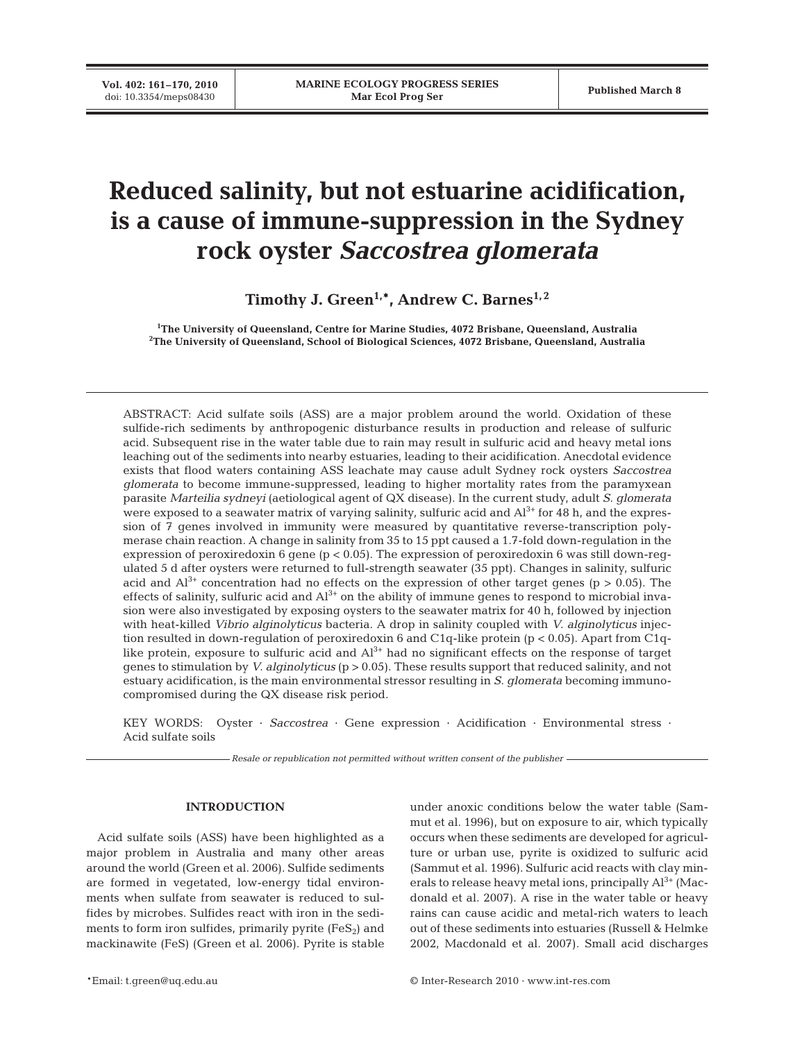**Vol. 402: 161–170, 2010**

# **Reduced salinity, but not estuarine acidification, is a cause of immune-suppression in the Sydney rock oyster** *Saccostrea glomerata*

Timothy J. Green<sup>1,\*</sup>, Andrew C. Barnes<sup>1,2</sup>

**1 The University of Queensland, Centre for Marine Studies, 4072 Brisbane, Queensland, Australia 2 The University of Queensland, School of Biological Sciences, 4072 Brisbane, Queensland, Australia**

ABSTRACT: Acid sulfate soils (ASS) are a major problem around the world. Oxidation of these sulfide-rich sediments by anthropogenic disturbance results in production and release of sulfuric acid. Subsequent rise in the water table due to rain may result in sulfuric acid and heavy metal ions leaching out of the sediments into nearby estuaries, leading to their acidification. Anecdotal evidence exists that flood waters containing ASS leachate may cause adult Sydney rock oysters *Saccostrea glomerata* to become immune-suppressed, leading to higher mortality rates from the paramyxean parasite *Marteilia sydneyi* (aetiological agent of QX disease). In the current study, adult *S. glomerata* were exposed to a seawater matrix of varying salinity, sulfuric acid and Al<sup>3+</sup> for 48 h, and the expression of 7 genes involved in immunity were measured by quantitative reverse-transcription polymerase chain reaction. A change in salinity from 35 to 15 ppt caused a 1.7-fold down-regulation in the expression of peroxiredoxin 6 gene (p < 0.05). The expression of peroxiredoxin 6 was still down-regulated 5 d after oysters were returned to full-strength seawater (35 ppt). Changes in salinity, sulfuric acid and  $Al^{3+}$  concentration had no effects on the expression of other target genes (p > 0.05). The effects of salinity, sulfuric acid and  $Al^{3+}$  on the ability of immune genes to respond to microbial invasion were also investigated by exposing oysters to the seawater matrix for 40 h, followed by injection with heat-killed *Vibrio alginolyticus* bacteria. A drop in salinity coupled with *V. alginolyticus* injection resulted in down-regulation of peroxiredoxin 6 and C1q-like protein ( $p < 0.05$ ). Apart from C1qlike protein, exposure to sulfuric acid and  $Al^{3+}$  had no significant effects on the response of target genes to stimulation by *V. alginolyticus* (p > 0.05). These results support that reduced salinity, and not estuary acidification, is the main environmental stressor resulting in *S. glomerata* becoming immunocompromised during the QX disease risk period.

KEY WORDS: Oyster · *Saccostrea* · Gene expression · Acidification · Environmental stress · Acid sulfate soils

*Resale or republication not permitted without written consent of the publisher*

### **INTRODUCTION**

Acid sulfate soils (ASS) have been highlighted as a major problem in Australia and many other areas around the world (Green et al. 2006). Sulfide sediments are formed in vegetated, low-energy tidal environments when sulfate from seawater is reduced to sulfides by microbes. Sulfides react with iron in the sediments to form iron sulfides, primarily pyrite  $(FeS_2)$  and mackinawite (FeS) (Green et al. 2006). Pyrite is stable

under anoxic conditions below the water table (Sammut et al. 1996), but on exposure to air, which typically occurs when these sediments are developed for agriculture or urban use, pyrite is oxidized to sulfuric acid (Sammut et al. 1996). Sulfuric acid reacts with clay minerals to release heavy metal ions, principally  $Al^{3+}$  (Macdonald et al. 2007). A rise in the water table or heavy rains can cause acidic and metal-rich waters to leach out of these sediments into estuaries (Russell & Helmke 2002, Macdonald et al. 2007). Small acid discharges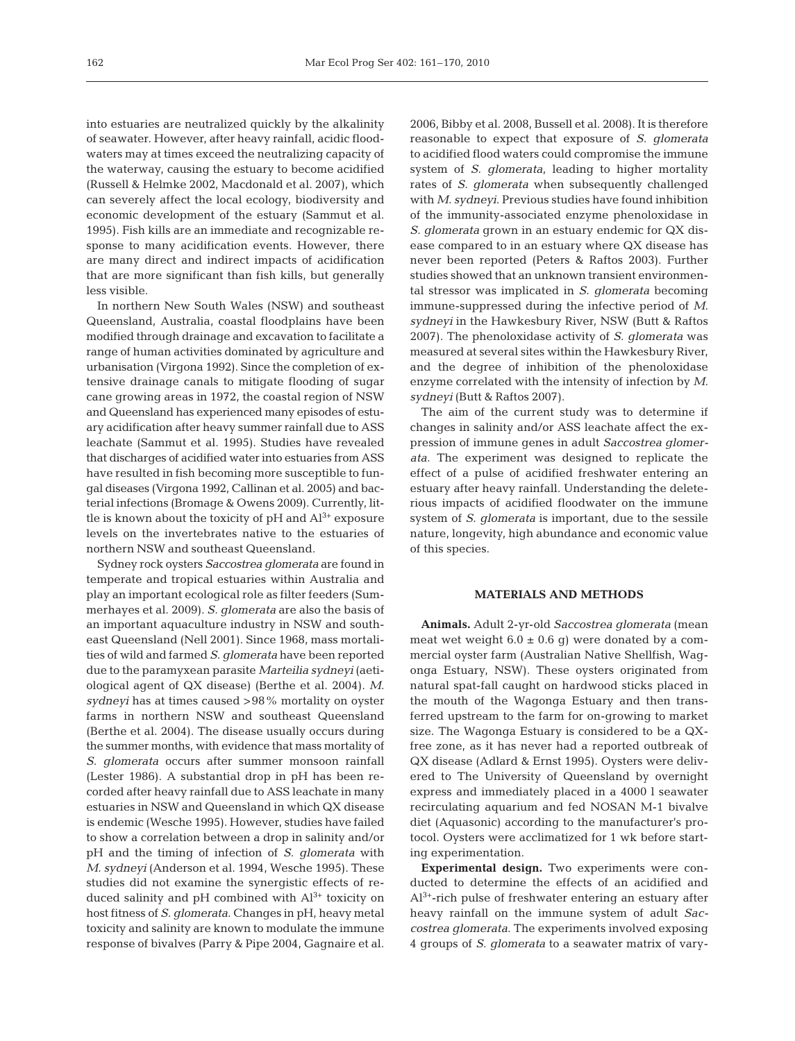into estuaries are neutralized quickly by the alkalinity of seawater. However, after heavy rainfall, acidic floodwaters may at times exceed the neutralizing capacity of the waterway, causing the estuary to become acidified (Russell & Helmke 2002, Macdonald et al. 2007), which can severely affect the local ecology, biodiversity and economic development of the estuary (Sammut et al. 1995). Fish kills are an immediate and recognizable response to many acidification events. However, there are many direct and indirect impacts of acidification that are more significant than fish kills, but generally less visible.

In northern New South Wales (NSW) and southeast Queensland, Australia, coastal floodplains have been modified through drainage and excavation to facilitate a range of human activities dominated by agriculture and urbanisation (Virgona 1992). Since the completion of extensive drainage canals to mitigate flooding of sugar cane growing areas in 1972, the coastal region of NSW and Queensland has experienced many episodes of estuary acidification after heavy summer rainfall due to ASS leachate (Sammut et al. 1995). Studies have revealed that discharges of acidified water into estuaries from ASS have resulted in fish becoming more susceptible to fungal diseases (Virgona 1992, Callinan et al. 2005) and bacterial infections (Bromage & Owens 2009). Currently, little is known about the toxicity of  $pH$  and  $Al^{3+}$  exposure levels on the invertebrates native to the estuaries of northern NSW and southeast Queensland.

Sydney rock oysters *Saccostrea glomerata* are found in temperate and tropical estuaries within Australia and play an important ecological role as filter feeders (Summerhayes et al. 2009). *S. glomerata* are also the basis of an important aquaculture industry in NSW and southeast Queensland (Nell 2001). Since 1968, mass mortalities of wild and farmed *S. glomerata* have been reported due to the paramyxean parasite *Marteilia sydneyi* (aetiological agent of QX disease) (Berthe et al. 2004). *M. sydneyi* has at times caused >98% mortality on oyster farms in northern NSW and southeast Queensland (Berthe et al. 2004). The disease usually occurs during the summer months, with evidence that mass mortality of *S. glomerata* occurs after summer monsoon rainfall (Lester 1986). A substantial drop in pH has been recorded after heavy rainfall due to ASS leachate in many estuaries in NSW and Queensland in which QX disease is endemic (Wesche 1995). However, studies have failed to show a correlation between a drop in salinity and/or pH and the timing of infection of *S. glomerata* with *M. sydneyi* (Anderson et al. 1994, Wesche 1995). These studies did not examine the synergistic effects of reduced salinity and pH combined with  $Al^{3+}$  toxicity on host fitness of *S. glomerata*. Changes in pH, heavy metal toxicity and salinity are known to modulate the immune response of bivalves (Parry & Pipe 2004, Gagnaire et al.

2006, Bibby et al. 2008, Bussell et al. 2008). It is therefore reasonable to expect that exposure of *S. glomerata* to acidified flood waters could compromise the immune system of *S. glomerata*, leading to higher mortality rates of *S. glomerata* when subsequently challenged with *M. sydneyi*. Previous studies have found inhibition of the immunity-associated enzyme phenoloxidase in *S. glomerata* grown in an estuary endemic for QX disease compared to in an estuary where QX disease has never been reported (Peters & Raftos 2003). Further studies showed that an unknown transient environmental stressor was implicated in *S. glomerata* becoming immune-suppressed during the infective period of *M. sydneyi* in the Hawkesbury River, NSW (Butt & Raftos 2007). The phenoloxidase activity of *S. glomerata* was measured at several sites within the Hawkesbury River, and the degree of inhibition of the phenoloxidase enzyme correlated with the intensity of infection by *M. sydneyi* (Butt & Raftos 2007).

The aim of the current study was to determine if changes in salinity and/or ASS leachate affect the expression of immune genes in adult *Saccostrea glomerata*. The experiment was designed to replicate the effect of a pulse of acidified freshwater entering an estuary after heavy rainfall. Understanding the deleterious impacts of acidified floodwater on the immune system of *S. glomerata* is important, due to the sessile nature, longevity, high abundance and economic value of this species.

#### **MATERIALS AND METHODS**

**Animals.** Adult 2-yr-old *Saccostrea glomerata* (mean meat wet weight  $6.0 \pm 0.6$  g) were donated by a commercial oyster farm (Australian Native Shellfish, Wagonga Estuary, NSW). These oysters originated from natural spat-fall caught on hardwood sticks placed in the mouth of the Wagonga Estuary and then transferred upstream to the farm for on-growing to market size. The Wagonga Estuary is considered to be a QXfree zone, as it has never had a reported outbreak of QX disease (Adlard & Ernst 1995). Oysters were delivered to The University of Queensland by overnight express and immediately placed in a 4000 l seawater recirculating aquarium and fed NOSAN M-1 bivalve diet (Aquasonic) according to the manufacturer's protocol. Oysters were acclimatized for 1 wk before starting experimentation.

**Experimental design.** Two experiments were conducted to determine the effects of an acidified and Al3+-rich pulse of freshwater entering an estuary after heavy rainfall on the immune system of adult *Saccostrea glomerata*. The experiments involved exposing 4 groups of *S. glomerata* to a seawater matrix of vary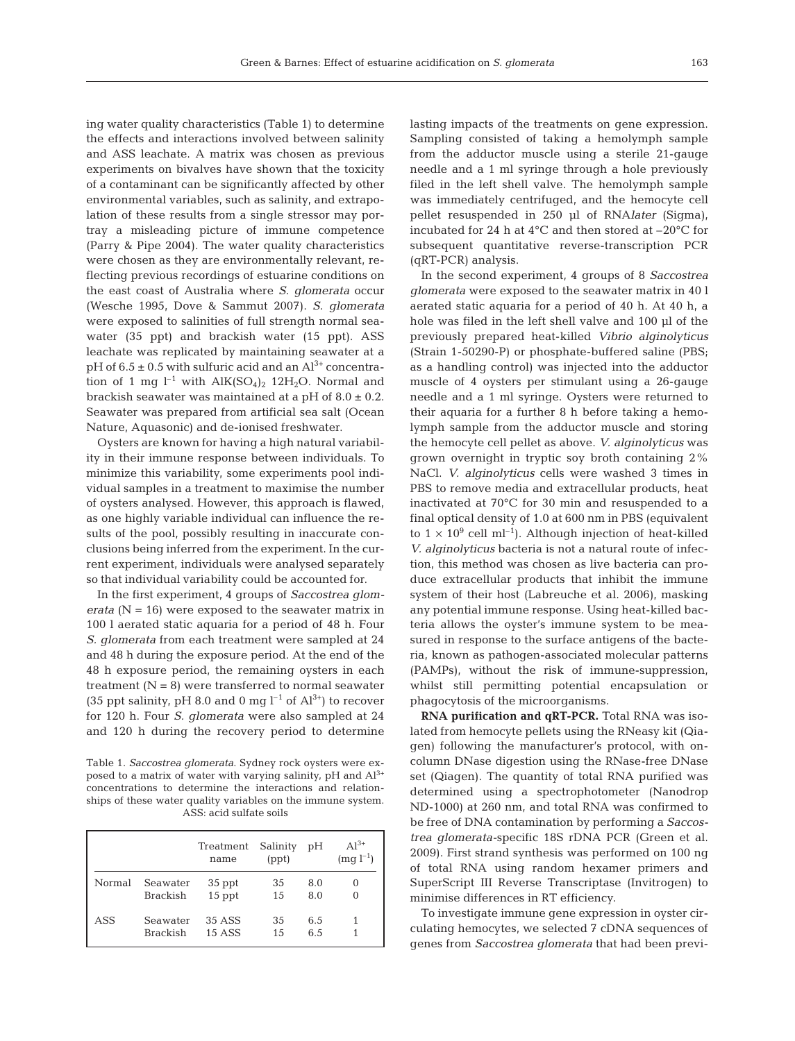ing water quality characteristics (Table 1) to determine the effects and interactions involved between salinity and ASS leachate. A matrix was chosen as previous experiments on bivalves have shown that the toxicity of a contaminant can be significantly affected by other environmental variables, such as salinity, and extrapolation of these results from a single stressor may portray a misleading picture of immune competence (Parry & Pipe 2004). The water quality characteristics were chosen as they are environmentally relevant, reflecting previous recordings of estuarine conditions on the east coast of Australia where *S. glomerata* occur (Wesche 1995, Dove & Sammut 2007). *S. glomerata* were exposed to salinities of full strength normal seawater (35 ppt) and brackish water (15 ppt). ASS leachate was replicated by maintaining seawater at a pH of  $6.5 \pm 0.5$  with sulfuric acid and an  $Al^{3+}$  concentration of 1 mg  $l^{-1}$  with  $AIK(SO<sub>4</sub>)<sub>2</sub> 12H<sub>2</sub>O$ . Normal and brackish seawater was maintained at a pH of  $8.0 \pm 0.2$ . Seawater was prepared from artificial sea salt (Ocean Nature, Aquasonic) and de-ionised freshwater.

Oysters are known for having a high natural variability in their immune response between individuals. To minimize this variability, some experiments pool individual samples in a treatment to maximise the number of oysters analysed. However, this approach is flawed, as one highly variable individual can influence the results of the pool, possibly resulting in inaccurate conclusions being inferred from the experiment. In the current experiment, individuals were analysed separately so that individual variability could be accounted for.

In the first experiment, 4 groups of *Saccostrea glomerata* (N = 16) were exposed to the seawater matrix in 100 l aerated static aquaria for a period of 48 h. Four *S. glomerata* from each treatment were sampled at 24 and 48 h during the exposure period. At the end of the 48 h exposure period, the remaining oysters in each treatment  $(N = 8)$  were transferred to normal seawater (35 ppt salinity, pH 8.0 and 0 mg  $l^{-1}$  of  $Al^{3+}$ ) to recover for 120 h. Four *S. glomerata* were also sampled at 24 and 120 h during the recovery period to determine

Table 1. *Saccostrea glomerata*. Sydney rock oysters were exposed to a matrix of water with varying salinity, pH and  $Al^{3+}$ concentrations to determine the interactions and relationships of these water quality variables on the immune system. ASS: acid sulfate soils

|        |                             | Treatment<br>name | Salinity<br>(ppt) | pH         | $Al^{3+}$<br>$(mg l^{-1})$ |
|--------|-----------------------------|-------------------|-------------------|------------|----------------------------|
| Normal | Seawater<br><b>Brackish</b> | 35 ppt<br>15 ppt  | 35<br>15          | 8.0<br>8.0 | 0<br>0                     |
| ASS    | Seawater<br>Brackish        | 35 ASS<br>15 ASS  | 35<br>1.5         | 6.5<br>6.5 |                            |

lasting impacts of the treatments on gene expression. Sampling consisted of taking a hemolymph sample from the adductor muscle using a sterile 21-gauge needle and a 1 ml syringe through a hole previously filed in the left shell valve. The hemolymph sample was immediately centrifuged, and the hemocyte cell pellet resuspended in 250 µl of RNA*later* (Sigma), incubated for 24 h at 4°C and then stored at –20°C for subsequent quantitative reverse-transcription PCR (qRT-PCR) analysis.

In the second experiment, 4 groups of 8 *Saccostrea glomerata* were exposed to the seawater matrix in 40 l aerated static aquaria for a period of 40 h. At 40 h, a hole was filed in the left shell valve and 100 µl of the previously prepared heat-killed *Vibrio alginolyticus* (Strain 1-50290-P) or phosphate-buffered saline (PBS; as a handling control) was injected into the adductor muscle of 4 oysters per stimulant using a 26-gauge needle and a 1 ml syringe. Oysters were returned to their aquaria for a further 8 h before taking a hemolymph sample from the adductor muscle and storing the hemocyte cell pellet as above. *V. alginolyticus* was grown overnight in tryptic soy broth containing 2% NaCl. *V. alginolyticus* cells were washed 3 times in PBS to remove media and extracellular products, heat inactivated at 70°C for 30 min and resuspended to a final optical density of 1.0 at 600 nm in PBS (equivalent to  $1 \times 10^9$  cell ml<sup>-1</sup>). Although injection of heat-killed *V. alginolyticus* bacteria is not a natural route of infection, this method was chosen as live bacteria can produce extracellular products that inhibit the immune system of their host (Labreuche et al. 2006), masking any potential immune response. Using heat-killed bacteria allows the oyster's immune system to be measured in response to the surface antigens of the bacteria, known as pathogen-associated molecular patterns (PAMPs), without the risk of immune-suppression, whilst still permitting potential encapsulation or phagocytosis of the microorganisms.

**RNA purification and qRT-PCR.** Total RNA was isolated from hemocyte pellets using the RNeasy kit (Qiagen) following the manufacturer's protocol, with oncolumn DNase digestion using the RNase-free DNase set (Qiagen). The quantity of total RNA purified was determined using a spectrophotometer (Nanodrop ND-1000) at 260 nm, and total RNA was confirmed to be free of DNA contamination by performing a *Saccostrea glomerata-*specific 18S rDNA PCR (Green et al. 2009). First strand synthesis was performed on 100 ng of total RNA using random hexamer primers and SuperScript III Reverse Transcriptase (Invitrogen) to minimise differences in RT efficiency.

To investigate immune gene expression in oyster circulating hemocytes, we selected 7 cDNA sequences of genes from *Saccostrea glomerata* that had been previ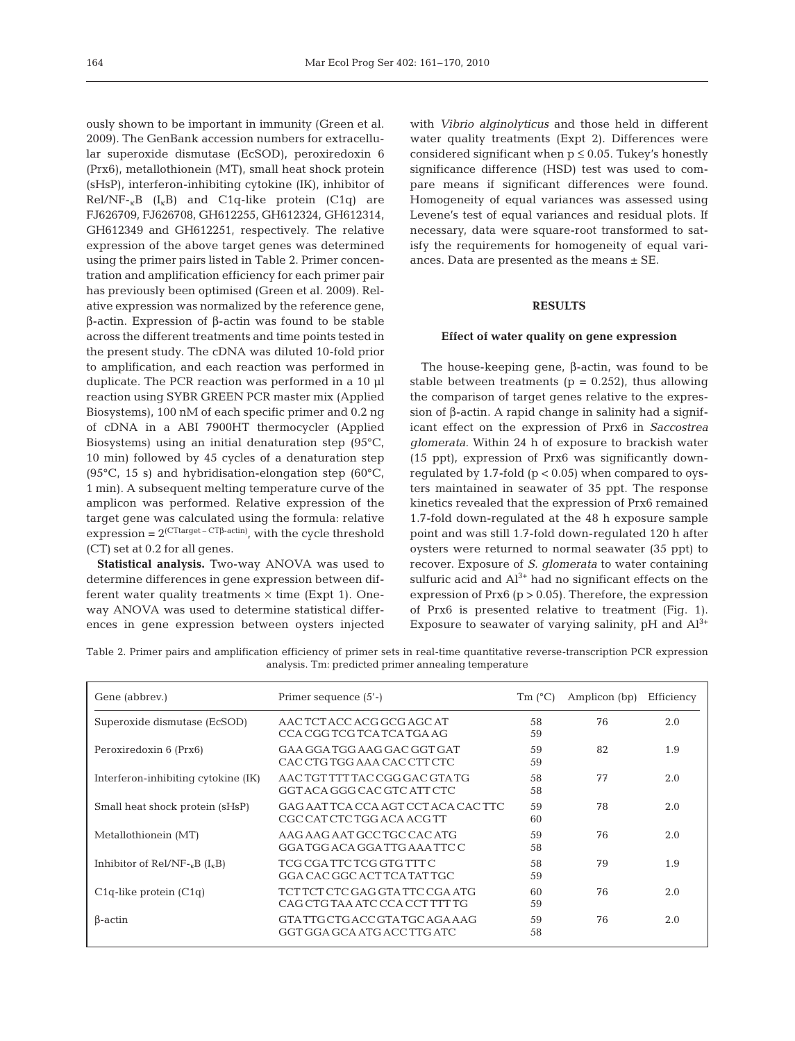ously shown to be important in immunity (Green et al. 2009). The GenBank accession numbers for extracellular superoxide dismutase (EcSOD), peroxiredoxin 6 (Prx6), metallothionein (MT), small heat shock protein (sHsP), interferon-inhibiting cytokine (IK), inhibitor of  $Rel/NF_{r}B$  ( $I_{k}B$ ) and  $C1q$ -like protein (C1q) are FJ626709, FJ626708, GH612255, GH612324, GH612314, GH612349 and GH612251, respectively. The relative expression of the above target genes was determined using the primer pairs listed in Table 2. Primer concentration and amplification efficiency for each primer pair has previously been optimised (Green et al. 2009). Relative expression was normalized by the reference gene, β-actin. Expression of β-actin was found to be stable across the different treatments and time points tested in the present study. The cDNA was diluted 10-fold prior to amplification, and each reaction was performed in duplicate. The PCR reaction was performed in a 10 µl reaction using SYBR GREEN PCR master mix (Applied Biosystems), 100 nM of each specific primer and 0.2 ng of cDNA in a ABI 7900HT thermocycler (Applied Biosystems) using an initial denaturation step (95°C, 10 min) followed by 45 cycles of a denaturation step (95 $\rm ^{\circ}C$ , 15 s) and hybridisation-elongation step (60 $\rm ^{\circ}C$ , 1 min). A subsequent melting temperature curve of the amplicon was performed. Relative expression of the target gene was calculated using the formula: relative expression =  $2^{\text{(CTtarget - CT\beta-actin)}}$ , with the cycle threshold (CT) set at 0.2 for all genes.

**Statistical analysis.** Two-way ANOVA was used to determine differences in gene expression between different water quality treatments  $\times$  time (Expt 1). Oneway ANOVA was used to determine statistical differences in gene expression between oysters injected with *Vibrio alginolyticus* and those held in different water quality treatments (Expt 2). Differences were considered significant when  $p \leq 0.05$ . Tukey's honestly significance difference (HSD) test was used to compare means if significant differences were found. Homogeneity of equal variances was assessed using Levene's test of equal variances and residual plots. If necessary, data were square-root transformed to satisfy the requirements for homogeneity of equal variances. Data are presented as the means  $\pm$  SE.

## **RESULTS**

#### **Effect of water quality on gene expression**

The house-keeping gene, β-actin, was found to be stable between treatments ( $p = 0.252$ ), thus allowing the comparison of target genes relative to the expression of β-actin. A rapid change in salinity had a significant effect on the expression of Prx6 in *Saccostrea glomerata*. Within 24 h of exposure to brackish water (15 ppt), expression of Prx6 was significantly downregulated by  $1.7$ -fold ( $p < 0.05$ ) when compared to oysters maintained in seawater of 35 ppt. The response kinetics revealed that the expression of Prx6 remained 1.7-fold down-regulated at the 48 h exposure sample point and was still 1.7-fold down-regulated 120 h after oysters were returned to normal seawater (35 ppt) to recover. Exposure of *S. glomerata* to water containing sulfuric acid and  $Al^{3+}$  had no significant effects on the expression of Prx6 ( $p > 0.05$ ). Therefore, the expression of Prx6 is presented relative to treatment (Fig. 1). Exposure to seawater of varying salinity,  $pH$  and  $Al^{3+}$ 

Table 2. Primer pairs and amplification efficiency of primer sets in real-time quantitative reverse-transcription PCR expression analysis. Tm: predicted primer annealing temperature

| Gene (abbrev.)                       | Primer sequence (5'-)                                             | $Tm$ (°C) | Amplicon (bp) | Efficiency |
|--------------------------------------|-------------------------------------------------------------------|-----------|---------------|------------|
| Superoxide dismutase (EcSOD)         | AAC TCT ACC ACG GCG AGC AT<br>CCA CGG TCG TCA TCA TGA AG          | 58<br>59  | 76            | 2.0        |
| Peroxiredoxin 6 (Prx6)               | GAA GGA TGG AAG GAC GGT GAT<br>CAC CTG TGG AAA CAC CTT CTC        | 59<br>59  | 82            | 1.9        |
| Interferon-inhibiting cytokine (IK)  | AAC TGT TTT TAC CGG GAC GTA TG<br>GGT ACA GGG CAC GTC ATT CTC     | 58<br>58  | 77            | 2.0        |
| Small heat shock protein (sHsP)      | GAG AAT TCA CCA AGT CCT ACA CAC TTC<br>CGC CAT CTC TGG ACA ACG TT | 59<br>60  | 78            | 2.0        |
| Metallothionein (MT)                 | AAG AAG AAT GCC TGC CAC ATG<br>GGA TGG ACA GGA TTG AAA TTC C      | 59<br>58  | 76            | 2.0        |
| Inhibitor of Rel/NF- $_{k}B(I_{k}B)$ | TCG CGA TTC TCG GTG TTT C<br>GGA CAC GGC ACT TCA TAT TGC          | 58<br>59  | 79            | 1.9        |
| $C1q$ -like protein $(C1q)$          | TCT TCT CTC GAG GTA TTC CGA ATG<br>CAG CTG TAA ATC CCA CCT TTT TG | 60<br>59  | 76            | 2.0        |
| $\beta$ -actin                       | GTA TTG CTG ACC GTA TGC AGA AAG<br>GGT GGA GCA ATG ACC TTG ATC    | 59<br>58  | 76            | 2.0        |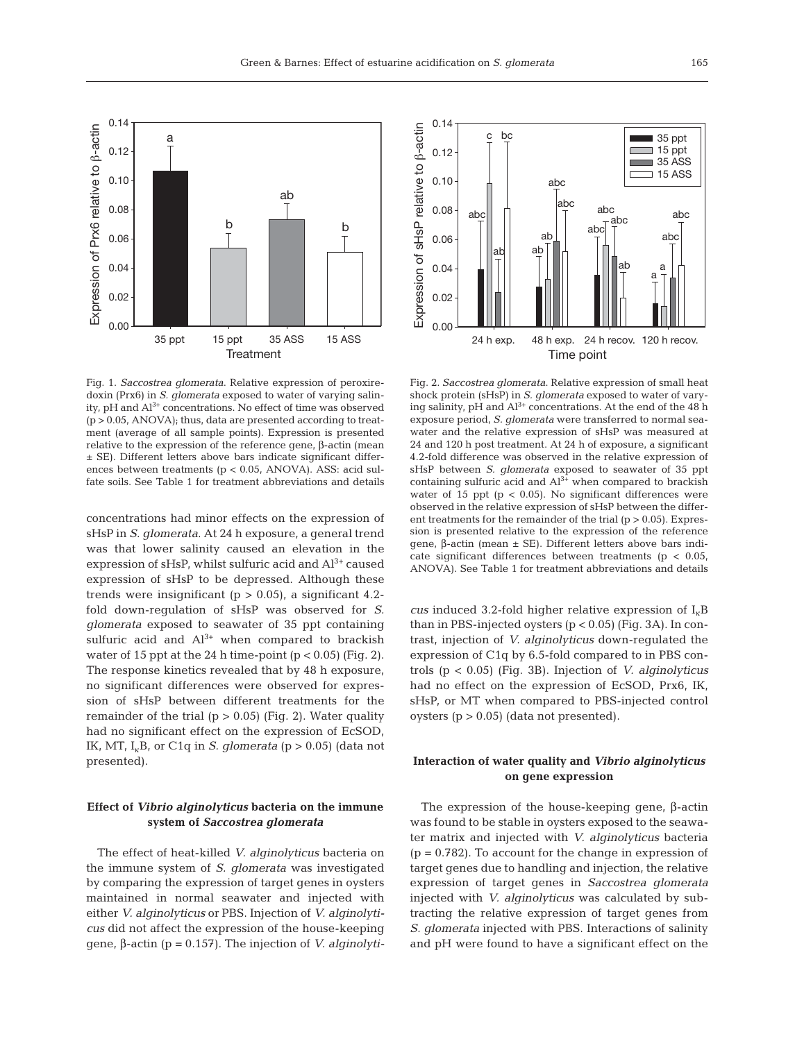

Fig. 1. *Saccostrea glomerata*. Relative expression of peroxiredoxin (Prx6) in *S. glomerata* exposed to water of varying salinity,  $pH$  and  $Al^{3+}$  concentrations. No effect of time was observed (p > 0.05, ANOVA); thus, data are presented according to treatment (average of all sample points). Expression is presented relative to the expression of the reference gene, β-actin (mean ± SE). Different letters above bars indicate significant differences between treatments (p < 0.05, ANOVA). ASS: acid sulfate soils. See Table 1 for treatment abbreviations and details

concentrations had minor effects on the expression of sHsP in *S. glomerata*. At 24 h exposure, a general trend was that lower salinity caused an elevation in the expression of  $sHsP$ , whilst sulfuric acid and  $Al^{3+}$  caused expression of sHsP to be depressed. Although these trends were insignificant ( $p > 0.05$ ), a significant 4.2fold down-regulation of sHsP was observed for *S. glomerata* exposed to seawater of 35 ppt containing sulfuric acid and  $Al^{3+}$  when compared to brackish water of 15 ppt at the 24 h time-point  $(p < 0.05)$  (Fig. 2). The response kinetics revealed that by 48 h exposure, no significant differences were observed for expression of sHsP between different treatments for the remainder of the trial  $(p > 0.05)$  (Fig. 2). Water quality had no significant effect on the expression of EcSOD, IK, MT,  $I_k B$ , or C1q in *S. glomerata* ( $p > 0.05$ ) (data not presented).

# **Effect of** *Vibrio alginolyticus* **bacteria on the immune system of** *Saccostrea glomerata*

The effect of heat-killed *V. alginolyticus* bacteria on the immune system of *S. glomerata* was investigated by comparing the expression of target genes in oysters maintained in normal seawater and injected with either *V. alginolyticus* or PBS. Injection of *V. alginolyticus* did not affect the expression of the house-keeping gene, β-actin (p = 0.157). The injection of *V. alginolyti-*

0.14 Expression of sHsP relative to B-actin Expression of sHsP relative to β-actin c bc  $\blacksquare$  35 ppt  $\Box$  15 ppt 0.12  $\Box$  35 ASS  $\Box$  15 ASS 0.10 abc abc abc 0.08  $\begin{array}{c|c|c|c|c|c} \text{abc} & & \text{abc} & & \text{abc} \end{array}$ abc  $\begin{array}{c|c} \text{ab} & \text{abc} \\ \hline \top & \end{array}$  abc 0.06 ab ab ab 0.04 a a 0.02 0.00 24 h exp. 48 h exp. 24 h recov. 120 h recov. Time point

Fig. 2. *Saccostrea glomerata*. Relative expression of small heat shock protein (sHsP) in *S. glomerata* exposed to water of varying salinity,  $pH$  and  $Al^{3+}$  concentrations. At the end of the 48 h exposure period, *S. glomerata* were transferred to normal seawater and the relative expression of sHsP was measured at 24 and 120 h post treatment. At 24 h of exposure, a significant 4.2-fold difference was observed in the relative expression of sHsP between *S. glomerata* exposed to seawater of 35 ppt containing sulfuric acid and  $Al^{3+}$  when compared to brackish water of 15 ppt ( $p < 0.05$ ). No significant differences were observed in the relative expression of sHsP between the different treatments for the remainder of the trial  $(p > 0.05)$ . Expression is presented relative to the expression of the reference gene, β-actin (mean ± SE). Different letters above bars indicate significant differences between treatments (p < 0.05, ANOVA). See Table 1 for treatment abbreviations and details

*cus* induced 3.2-fold higher relative expression of  $I_k$ B than in PBS-injected oysters  $(p < 0.05)$  (Fig. 3A). In contrast, injection of *V. alginolyticus* down-regulated the expression of C1q by 6.5-fold compared to in PBS controls (p < 0.05) (Fig. 3B). Injection of *V. alginolyticus* had no effect on the expression of EcSOD, Prx6, IK, sHsP, or MT when compared to PBS-injected control oysters  $(p > 0.05)$  (data not presented).

# **Interaction of water quality and** *Vibrio alginolyticus* **on gene expression**

The expression of the house-keeping gene, β-actin was found to be stable in oysters exposed to the seawater matrix and injected with *V. alginolyticus* bacteria  $(p = 0.782)$ . To account for the change in expression of target genes due to handling and injection, the relative expression of target genes in *Saccostrea glomerata* injected with *V. alginolyticus* was calculated by subtracting the relative expression of target genes from *S. glomerata* injected with PBS. Interactions of salinity and pH were found to have a significant effect on the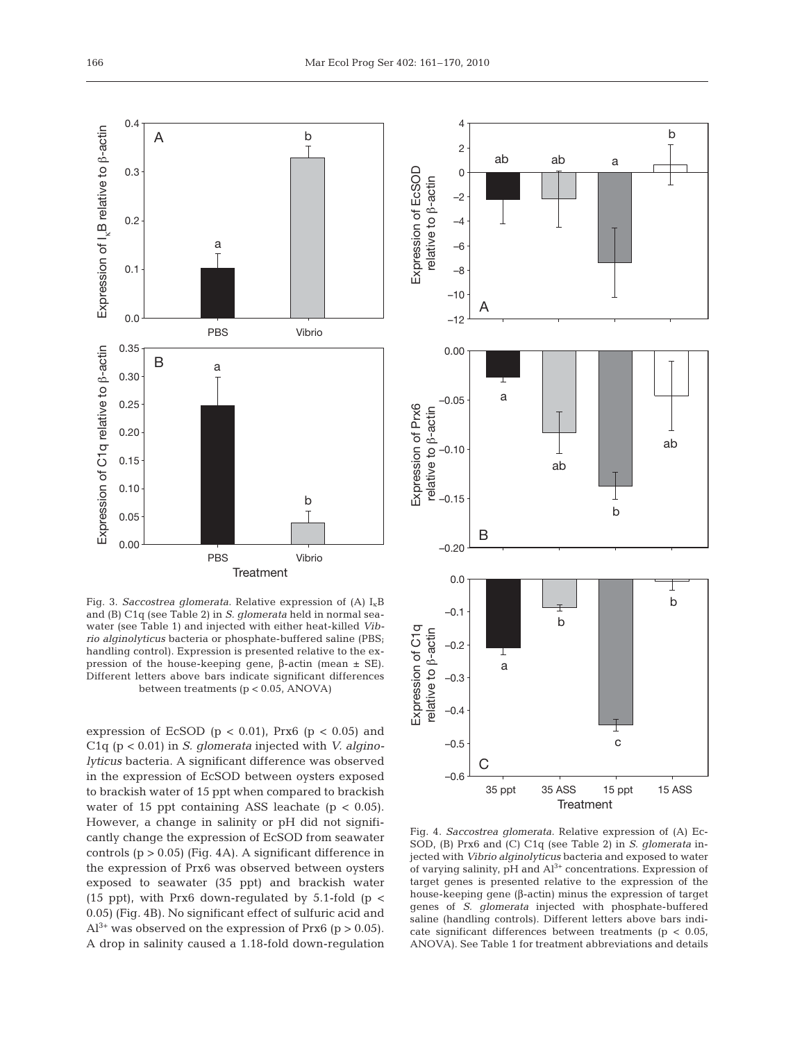

Fig. 3. *Saccostrea glomerata*. Relative expression of (A)  $I_{k}B$ and (B) C1q (see Table 2) in *S. glomerata* held in normal seawater (see Table 1) and injected with either heat-killed *Vibrio alginolyticus* bacteria or phosphate-buffered saline (PBS; handling control). Expression is presented relative to the expression of the house-keeping gene, β-actin (mean ± SE). Different letters above bars indicate significant differences between treatments (p < 0.05, ANOVA)

expression of EcSOD ( $p < 0.01$ ), Prx6 ( $p < 0.05$ ) and C1q (p < 0.01) in *S. glomerata* injected with *V. alginolyticus* bacteria. A significant difference was observed in the expression of EcSOD between oysters exposed to brackish water of 15 ppt when compared to brackish water of 15 ppt containing ASS leachate  $(p < 0.05)$ . However, a change in salinity or pH did not significantly change the expression of EcSOD from seawater controls  $(p > 0.05)$  (Fig. 4A). A significant difference in the expression of Prx6 was observed between oysters exposed to seawater (35 ppt) and brackish water (15 ppt), with Prx6 down-regulated by 5.1-fold (p  $<$ 0.05) (Fig. 4B). No significant effect of sulfuric acid and  $Al^{3+}$  was observed on the expression of Prx6 (p > 0.05). A drop in salinity caused a 1.18-fold down-regulation



Fig. 4. *Saccostrea glomerata*. Relative expression of (A) Ec-SOD, (B) Prx6 and (C) C1q (see Table 2) in *S. glomerata* injected with *Vibrio alginolyticus* bacteria and exposed to water of varying salinity, pH and  $Al^{3+}$  concentrations. Expression of target genes is presented relative to the expression of the house-keeping gene (β-actin) minus the expression of target genes of *S. glomerata* injected with phosphate-buffered saline (handling controls). Different letters above bars indicate significant differences between treatments ( $p < 0.05$ , ANOVA). See Table 1 for treatment abbreviations and details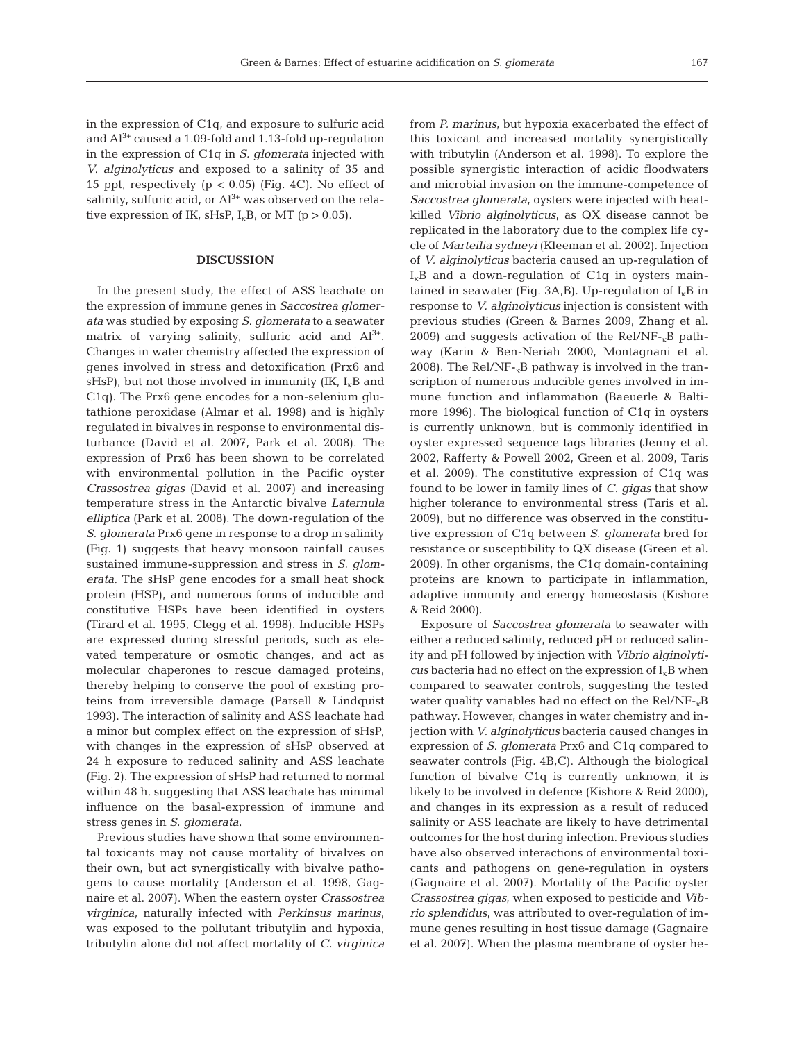in the expression of C1q, and exposure to sulfuric acid and  $Al^{3+}$  caused a 1.09-fold and 1.13-fold up-regulation in the expression of C1q in *S. glomerata* injected with *V. alginolyticus* and exposed to a salinity of 35 and 15 ppt, respectively ( $p < 0.05$ ) (Fig. 4C). No effect of salinity, sulfuric acid, or  $Al^{3+}$  was observed on the relative expression of IK, sHsP,  $I_kB$ , or MT (p > 0.05).

## **DISCUSSION**

In the present study, the effect of ASS leachate on the expression of immune genes in *Saccostrea glomerata* was studied by exposing *S. glomerata* to a seawater matrix of varying salinity, sulfuric acid and  $Al^{3+}$ . Changes in water chemistry affected the expression of genes involved in stress and detoxification (Prx6 and sHsP), but not those involved in immunity (IK,  $I_k B$  and C1q). The Prx6 gene encodes for a non-selenium glutathione peroxidase (Almar et al. 1998) and is highly regulated in bivalves in response to environmental disturbance (David et al. 2007, Park et al. 2008). The expression of Prx6 has been shown to be correlated with environmental pollution in the Pacific oyster *Crassostrea gigas* (David et al. 2007) and increasing temperature stress in the Antarctic bivalve *Laternula elliptica* (Park et al. 2008). The down-regulation of the *S. glomerata* Prx6 gene in response to a drop in salinity (Fig. 1) suggests that heavy monsoon rainfall causes sustained immune-suppression and stress in *S. glomerata*. The sHsP gene encodes for a small heat shock protein (HSP), and numerous forms of inducible and constitutive HSPs have been identified in oysters (Tirard et al. 1995, Clegg et al. 1998). Inducible HSPs are expressed during stressful periods, such as elevated temperature or osmotic changes, and act as molecular chaperones to rescue damaged proteins, thereby helping to conserve the pool of existing proteins from irreversible damage (Parsell & Lindquist 1993). The interaction of salinity and ASS leachate had a minor but complex effect on the expression of sHsP, with changes in the expression of sHsP observed at 24 h exposure to reduced salinity and ASS leachate (Fig. 2). The expression of sHsP had returned to normal within 48 h, suggesting that ASS leachate has minimal influence on the basal-expression of immune and stress genes in *S. glomerata*.

Previous studies have shown that some environmental toxicants may not cause mortality of bivalves on their own, but act synergistically with bivalve pathogens to cause mortality (Anderson et al. 1998, Gagnaire et al. 2007). When the eastern oyster *Crassostrea virginica*, naturally infected with *Perkinsus marinus*, was exposed to the pollutant tributylin and hypoxia, tributylin alone did not affect mortality of *C. virginica* from *P. marinus*, but hypoxia exacerbated the effect of this toxicant and increased mortality synergistically with tributylin (Anderson et al. 1998). To explore the possible synergistic interaction of acidic floodwaters and microbial invasion on the immune-competence of *Saccostrea glomerata*, oysters were injected with heatkilled *Vibrio alginolyticus*, as QX disease cannot be replicated in the laboratory due to the complex life cycle of *Marteilia sydneyi* (Kleeman et al. 2002). Injection of *V. alginolyticus* bacteria caused an up-regulation of  $I<sub>k</sub>B$  and a down-regulation of C1q in oysters maintained in seawater (Fig. 3A,B). Up-regulation of  $I_kB$  in response to *V. alginolyticus* injection is consistent with previous studies (Green & Barnes 2009, Zhang et al. 2009) and suggests activation of the Rel/NF- $<sub>k</sub>B$  path-</sub> way (Karin & Ben-Neriah 2000, Montagnani et al. 2008). The Rel/NF- $<sub>k</sub>B$  pathway is involved in the tran-</sub> scription of numerous inducible genes involved in immune function and inflammation (Baeuerle & Baltimore 1996). The biological function of C1q in oysters is currently unknown, but is commonly identified in oyster expressed sequence tags libraries (Jenny et al. 2002, Rafferty & Powell 2002, Green et al. 2009, Taris et al. 2009). The constitutive expression of C1q was found to be lower in family lines of *C. gigas* that show higher tolerance to environmental stress (Taris et al. 2009), but no difference was observed in the constitutive expression of C1q between *S. glomerata* bred for resistance or susceptibility to QX disease (Green et al. 2009). In other organisms, the C1q domain-containing proteins are known to participate in inflammation, adaptive immunity and energy homeostasis (Kishore & Reid 2000).

Exposure of *Saccostrea glomerata* to seawater with either a reduced salinity, reduced pH or reduced salinity and pH followed by injection with *Vibrio alginolyti-* $\cos$  bacteria had no effect on the expression of  $I_kB$  when compared to seawater controls, suggesting the tested water quality variables had no effect on the Rel/NF- $<sub>K</sub>B$ </sub> pathway. However, changes in water chemistry and injection with *V. alginolyticus* bacteria caused changes in expression of *S. glomerata* Prx6 and C1q compared to seawater controls (Fig. 4B,C). Although the biological function of bivalve C1q is currently unknown, it is likely to be involved in defence (Kishore & Reid 2000), and changes in its expression as a result of reduced salinity or ASS leachate are likely to have detrimental outcomes for the host during infection. Previous studies have also observed interactions of environmental toxicants and pathogens on gene-regulation in oysters (Gagnaire et al. 2007). Mortality of the Pacific oyster *Crassostrea gigas*, when exposed to pesticide and *Vibrio splendidus*, was attributed to over-regulation of immune genes resulting in host tissue damage (Gagnaire et al. 2007). When the plasma membrane of oyster he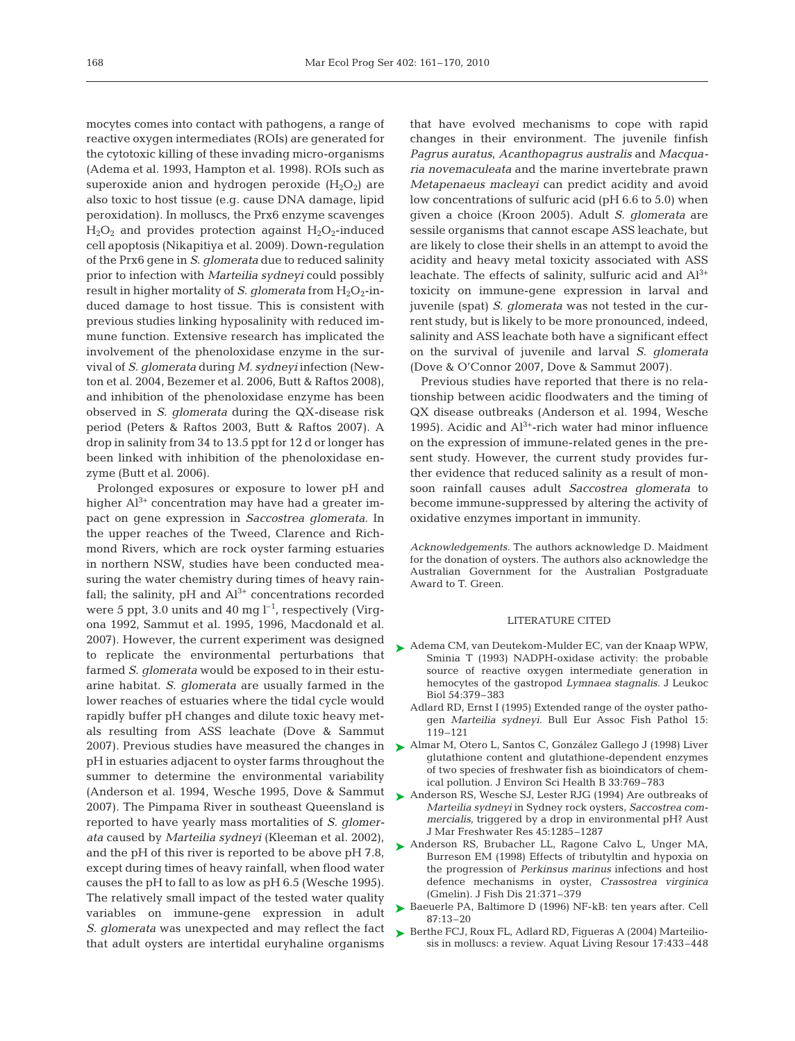mocytes comes into contact with pathogens, a range of reactive oxygen intermediates (ROIs) are generated for the cytotoxic killing of these invading micro-organisms (Adema et al. 1993, Hampton et al. 1998). ROIs such as superoxide anion and hydrogen peroxide  $(H_2O_2)$  are also toxic to host tissue (e.g. cause DNA damage, lipid peroxidation). In molluscs, the Prx6 enzyme scavenges  $H_2O_2$  and provides protection against  $H_2O_2$ -induced cell apoptosis (Nikapitiya et al. 2009). Down-regulation of the Prx6 gene in *S. glomerata* due to reduced salinity prior to infection with *Marteilia sydneyi* could possibly result in higher mortality of *S. glomerata* from H<sub>2</sub>O<sub>2</sub>-induced damage to host tissue. This is consistent with previous studies linking hyposalinity with reduced immune function. Extensive research has implicated the involvement of the phenoloxidase enzyme in the survival of *S. glomerata* during *M. sydneyi* infection (Newton et al. 2004, Bezemer et al. 2006, Butt & Raftos 2008), and inhibition of the phenoloxidase enzyme has been observed in *S. glomerata* during the QX-disease risk period (Peters & Raftos 2003, Butt & Raftos 2007). A drop in salinity from 34 to 13.5 ppt for 12 d or longer has been linked with inhibition of the phenoloxidase enzyme (Butt et al. 2006).

Prolonged exposures or exposure to lower pH and higher  $Al^{3+}$  concentration may have had a greater impact on gene expression in *Saccostrea glomerata*. In the upper reaches of the Tweed, Clarence and Richmond Rivers, which are rock oyster farming estuaries in northern NSW, studies have been conducted measuring the water chemistry during times of heavy rainfall; the salinity,  $pH$  and  $Al^{3+}$  concentrations recorded were 5 ppt, 3.0 units and 40 mg  $l^{-1}$ , respectively (Virgona 1992, Sammut et al. 1995, 1996, Macdonald et al. 2007). However, the current experiment was designed to replicate the environmental perturbations that farmed *S. glomerata* would be exposed to in their estuarine habitat. *S. glomerata* are usually farmed in the lower reaches of estuaries where the tidal cycle would rapidly buffer pH changes and dilute toxic heavy metals resulting from ASS leachate (Dove & Sammut 2007). Previous studies have measured the changes in pH in estuaries adjacent to oyster farms throughout the summer to determine the environmental variability (Anderson et al. 1994, Wesche 1995, Dove & Sammut 2007). The Pimpama River in southeast Queensland is reported to have yearly mass mortalities of *S. glomerata* caused by *Marteilia sydneyi* (Kleeman et al. 2002), and the pH of this river is reported to be above pH 7.8, except during times of heavy rainfall, when flood water causes the pH to fall to as low as pH 6.5 (Wesche 1995). The relatively small impact of the tested water quality variables on immune-gene expression in adult *S. glomerata* was unexpected and may reflect the fact that adult oysters are intertidal euryhaline organisms

that have evolved mechanisms to cope with rapid changes in their environment. The juvenile finfish *Pagrus auratus*, *Acanthopagrus australis* and *Macquaria novemaculeata* and the marine invertebrate prawn *Metapenaeus macleayi* can predict acidity and avoid low concentrations of sulfuric acid (pH 6.6 to 5.0) when given a choice (Kroon 2005). Adult *S. glomerata* are sessile organisms that cannot escape ASS leachate, but are likely to close their shells in an attempt to avoid the acidity and heavy metal toxicity associated with ASS leachate. The effects of salinity, sulfuric acid and  $Al^{3+}$ toxicity on immune-gene expression in larval and juvenile (spat) *S. glomerata* was not tested in the current study, but is likely to be more pronounced, indeed, salinity and ASS leachate both have a significant effect on the survival of juvenile and larval *S. glomerata* (Dove & O'Connor 2007, Dove & Sammut 2007).

Previous studies have reported that there is no relationship between acidic floodwaters and the timing of QX disease outbreaks (Anderson et al. 1994, Wesche 1995). Acidic and  $Al^{3+}$ -rich water had minor influence on the expression of immune-related genes in the present study. However, the current study provides further evidence that reduced salinity as a result of monsoon rainfall causes adult *Saccostrea glomerata* to become immune-suppressed by altering the activity of oxidative enzymes important in immunity.

*Acknowledgements.* The authors acknowledge D. Maidment for the donation of oysters. The authors also acknowledge the Australian Government for the Australian Postgraduate Award to T. Green.

#### LITERATURE CITED

- ► Adema CM, van Deutekom-Mulder EC, van der Knaap WPW, Sminia T (1993) NADPH-oxidase activity: the probable source of reactive oxygen intermediate generation in hemocytes of the gastropod *Lymnaea stagnalis*. J Leukoc Biol 54:379–383
	- Adlard RD, Ernst I (1995) Extended range of the oyster pathogen *Marteilia sydneyi*. Bull Eur Assoc Fish Pathol 15: 119–121
- Almar M, Otero L, Santos C, González Gallego J (1998) Liver ➤ glutathione content and glutathione-dependent enzymes of two species of freshwater fish as bioindicators of chemical pollution. J Environ Sci Health B 33:769–783
- ▶ Anderson RS, Wesche SJ, Lester RJG (1994) Are outbreaks of *Marteilia sydneyi* in Sydney rock oysters, *Saccostrea commercialis*, triggered by a drop in environmental pH? Aust J Mar Freshwater Res 45:1285–1287
- ▶ Anderson RS, Brubacher LL, Ragone Calvo L, Unger MA, Burreson EM (1998) Effects of tributyltin and hypoxia on the progression of *Perkinsus marinus* infections and host defence mechanisms in oyster, *Crassostrea virginica* (Gmelin). J Fish Dis 21:371–379
- ► Baeuerle PA, Baltimore D (1996) NF-kB: ten years after. Cell 87:13–20
- ▶ Berthe FCJ, Roux FL, Adlard RD, Figueras A (2004) Marteiliosis in molluscs: a review. Aquat Living Resour 17:433–448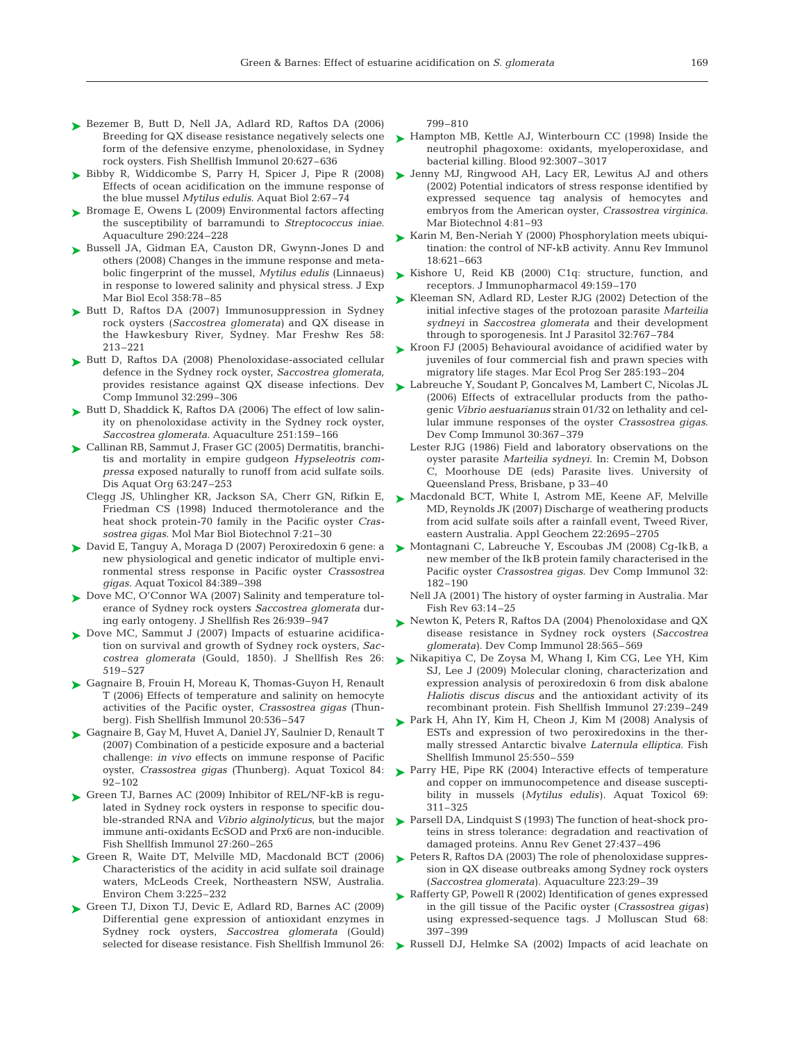- ► Bezemer B, Butt D, Nell JA, Adlard RD, Raftos DA (2006) Breeding for QX disease resistance negatively selects one form of the defensive enzyme, phenoloxidase, in Sydney rock oysters. Fish Shellfish Immunol 20:627–636
- ► Bibby R, Widdicombe S, Parry H, Spicer J, Pipe R (2008) Effects of ocean acidification on the immune response of the blue mussel *Mytilus edulis*. Aquat Biol 2:67–74
- ► Bromage E, Owens L (2009) Environmental factors affecting the susceptibility of barramundi to *Streptococcus iniae*. Aquaculture 290:224–228
- ► Bussell JA, Gidman EA, Causton DR, Gwynn-Jones D and others (2008) Changes in the immune response and metabolic fingerprint of the mussel, *Mytilus edulis* (Linnaeus) in response to lowered salinity and physical stress. J Exp Mar Biol Ecol 358:78–85
- ► Butt D, Raftos DA (2007) Immunosuppression in Sydney rock oysters (*Saccostrea glomerata)* and QX disease in the Hawkesbury River, Sydney. Mar Freshw Res 58: 213–221
- ► Butt D, Raftos DA (2008) Phenoloxidase-associated cellular defence in the Sydney rock oyster, *Saccostrea glomerata*, provides resistance against QX disease infections. Dev Comp Immunol 32:299–306
- ► Butt D, Shaddick K, Raftos DA (2006) The effect of low salinity on phenoloxidase activity in the Sydney rock oyster, *Saccostrea glomerata*. Aquaculture 251:159–166
- ► Callinan RB, Sammut J, Fraser GC (2005) Dermatitis, branchitis and mortality in empire gudgeon *Hypseleotris compressa* exposed naturally to runoff from acid sulfate soils. Dis Aquat Org 63:247–253
	- Clegg JS, Uhlingher KR, Jackson SA, Cherr GN, Rifkin E, Friedman CS (1998) Induced thermotolerance and the heat shock protein-70 family in the Pacific oyster *Crassostrea gigas*. Mol Mar Biol Biotechnol 7:21–30
- David E, Tanguy A, Moraga D (2007) Peroxiredoxin 6 gene: a ➤ new physiological and genetic indicator of multiple environmental stress response in Pacific oyster *Crassostrea gigas*. Aquat Toxicol 84:389–398
- ► Dove MC, O'Connor WA (2007) Salinity and temperature tolerance of Sydney rock oysters *Saccostrea glomerata* during early ontogeny. J Shellfish Res 26:939–947
- ▶ Dove MC, Sammut J (2007) Impacts of estuarine acidification on survival and growth of Sydney rock oysters, *Saccostrea glomerata* (Gould, 1850). J Shellfish Res 26: 519–527
- ► Gagnaire B, Frouin H, Moreau K, Thomas-Guyon H, Renault T (2006) Effects of temperature and salinity on hemocyte activities of the Pacific oyster, *Crassostrea gigas* (Thunberg). Fish Shellfish Immunol 20:536–547
- ► Gagnaire B, Gay M, Huvet A, Daniel JY, Saulnier D, Renault T (2007) Combination of a pesticide exposure and a bacterial challenge: *in vivo* effects on immune response of Pacific oyster, *Crassostrea gigas* (Thunberg). Aquat Toxicol 84: 92–102
- ► Green TJ, Barnes AC (2009) Inhibitor of REL/NF-kB is regulated in Sydney rock oysters in response to specific double-stranded RNA and *Vibrio alginolyticus*, but the major immune anti-oxidants EcSOD and Prx6 are non-inducible. Fish Shellfish Immunol 27:260–265
- ▶ Green R, Waite DT, Melville MD, Macdonald BCT (2006) Characteristics of the acidity in acid sulfate soil drainage waters, McLeods Creek, Northeastern NSW, Australia. Environ Chem 3:225–232
- ► Green TJ, Dixon TJ, Devic E, Adlard RD, Barnes AC (2009) Differential gene expression of antioxidant enzymes in Sydney rock oysters, *Saccostrea glomerata* (Gould) selected for disease resistance. Fish Shellfish Immunol 26:

799–810

- ► Hampton MB, Kettle AJ, Winterbourn CC (1998) Inside the neutrophil phagoxome: oxidants, myeloperoxidase, and bacterial killing. Blood 92:3007–3017
- ► Jenny MJ, Ringwood AH, Lacy ER, Lewitus AJ and others (2002) Potential indicators of stress response identified by expressed sequence tag analysis of hemocytes and embryos from the American oyster, *Crassostrea virginica*. Mar Biotechnol 4:81–93
- ► Karin M, Ben-Neriah Y (2000) Phosphorylation meets ubiquitination: the control of NF-kB activity. Annu Rev Immunol 18:621–663
- ► Kishore U, Reid KB (2000) C1q: structure, function, and receptors. J Immunopharmacol 49:159–170
- ► Kleeman SN, Adlard RD, Lester RJG (2002) Detection of the initial infective stages of the protozoan parasite *Marteilia sydneyi* in *Saccostrea glomerata* and their development through to sporogenesis. Int J Parasitol 32:767–784
- ► Kroon FJ (2005) Behavioural avoidance of acidified water by juveniles of four commercial fish and prawn species with migratory life stages. Mar Ecol Prog Ser 285:193–204
- ► Labreuche Y, Soudant P, Goncalves M, Lambert C, Nicolas JL (2006) Effects of extracellular products from the pathogenic *Vibrio aestuarianus* strain 01/32 on lethality and cellular immune responses of the oyster *Crassostrea gigas*. Dev Comp Immunol 30:367–379
	- Lester RJG (1986) Field and laboratory observations on the oyster parasite *Marteilia sydneyi*. In: Cremin M, Dobson C, Moorhouse DE (eds) Parasite lives. University of Queensland Press, Brisbane, p 33–40
- ▶ Macdonald BCT, White I, Astrom ME, Keene AF, Melville MD, Reynolds JK (2007) Discharge of weathering products from acid sulfate soils after a rainfall event, Tweed River, eastern Australia. Appl Geochem 22:2695–2705
- Montagnani C, Labreuche Y, Escoubas JM (2008) Cg-IkB, a ➤ new member of the IkB protein family characterised in the Pacific oyster *Crassostrea gigas*. Dev Comp Immunol 32: 182–190
	- Nell JA (2001) The history of oyster farming in Australia. Mar Fish Rev 63:14–25
- ► Newton K, Peters R, Raftos DA (2004) Phenoloxidase and QX disease resistance in Sydney rock oysters (*Saccostrea glomerata)*. Dev Comp Immunol 28:565–569
- ► Nikapitiya C, De Zoysa M, Whang I, Kim CG, Lee YH, Kim SJ, Lee J (2009) Molecular cloning, characterization and expression analysis of peroxiredoxin 6 from disk abalone *Haliotis discus discus* and the antioxidant activity of its recombinant protein. Fish Shellfish Immunol 27:239–249
- ▶ Park H, Ahn IY, Kim H, Cheon J, Kim M (2008) Analysis of ESTs and expression of two peroxiredoxins in the thermally stressed Antarctic bivalve *Laternula elliptica*. Fish Shellfish Immunol 25:550–559
- ▶ Parry HE, Pipe RK (2004) Interactive effects of temperature and copper on immunocompetence and disease susceptibility in mussels (*Mytilus edulis)*. Aquat Toxicol 69: 311–325
- ▶ Parsell DA, Lindquist S (1993) The function of heat-shock proteins in stress tolerance: degradation and reactivation of damaged proteins. Annu Rev Genet 27:437–496
- Peters R, Raftos DA (2003) The role of phenoloxidase suppres-➤ sion in QX disease outbreaks among Sydney rock oysters (*Saccostrea glomerata)*. Aquaculture 223:29–39
- ► Rafferty GP, Powell R (2002) Identification of genes expressed in the gill tissue of the Pacific oyster (*Crassostrea gigas)* using expressed-sequence tags. J Molluscan Stud 68: 397–399
- ▶ Russell DJ, Helmke SA (2002) Impacts of acid leachate on